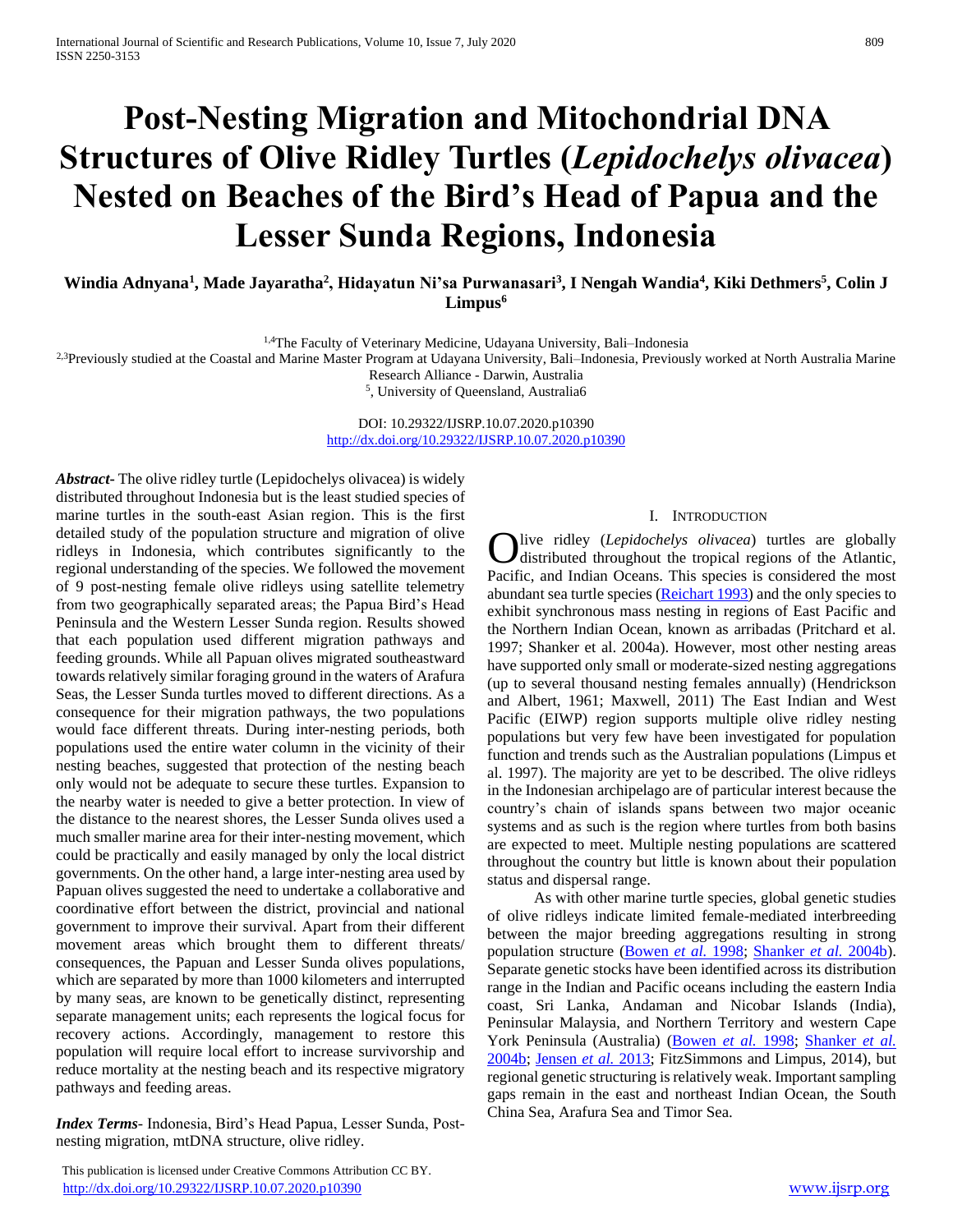# **Post-Nesting Migration and Mitochondrial DNA Structures of Olive Ridley Turtles (***Lepidochelys olivacea***) Nested on Beaches of the Bird's Head of Papua and the Lesser Sunda Regions, Indonesia**

**Windia Adnyana<sup>1</sup> , Made Jayaratha<sup>2</sup> , Hidayatun Ni'sa Purwanasari<sup>3</sup> , I Nengah Wandia<sup>4</sup> , Kiki Dethmers<sup>5</sup> , Colin J Limpus<sup>6</sup>**

<sup>1,4</sup>The Faculty of Veterinary Medicine, Udayana University, Bali-Indonesia

<sup>2,3</sup>Previously studied at the Coastal and Marine Master Program at Udayana University, Bali–Indonesia, Previously worked at North Australia Marine

Research Alliance - Darwin, Australia

5 , University of Queensland, Australia6

DOI: 10.29322/IJSRP.10.07.2020.p10390 <http://dx.doi.org/10.29322/IJSRP.10.07.2020.p10390>

*Abstract***-** The olive ridley turtle (Lepidochelys olivacea) is widely distributed throughout Indonesia but is the least studied species of marine turtles in the south-east Asian region. This is the first detailed study of the population structure and migration of olive ridleys in Indonesia, which contributes significantly to the regional understanding of the species. We followed the movement of 9 post-nesting female olive ridleys using satellite telemetry from two geographically separated areas; the Papua Bird's Head Peninsula and the Western Lesser Sunda region. Results showed that each population used different migration pathways and feeding grounds. While all Papuan olives migrated southeastward towards relatively similar foraging ground in the waters of Arafura Seas, the Lesser Sunda turtles moved to different directions. As a consequence for their migration pathways, the two populations would face different threats. During inter-nesting periods, both populations used the entire water column in the vicinity of their nesting beaches, suggested that protection of the nesting beach only would not be adequate to secure these turtles. Expansion to the nearby water is needed to give a better protection. In view of the distance to the nearest shores, the Lesser Sunda olives used a much smaller marine area for their inter-nesting movement, which could be practically and easily managed by only the local district governments. On the other hand, a large inter-nesting area used by Papuan olives suggested the need to undertake a collaborative and coordinative effort between the district, provincial and national government to improve their survival. Apart from their different movement areas which brought them to different threats/ consequences, the Papuan and Lesser Sunda olives populations, which are separated by more than 1000 kilometers and interrupted by many seas, are known to be genetically distinct, representing separate management units; each represents the logical focus for recovery actions. Accordingly, management to restore this population will require local effort to increase survivorship and reduce mortality at the nesting beach and its respective migratory pathways and feeding areas.

*Index Terms*- Indonesia, Bird's Head Papua, Lesser Sunda, Postnesting migration, mtDNA structure, olive ridley.

## I. INTRODUCTION

**O**live ridley (*Lepidochelys olivacea*) turtles are globally distributed throughout the tropical regions of the Atlantic, distributed throughout the tropical regions of the Atlantic, Pacific, and Indian Oceans. This species is considered the most abundant sea turtle species (Reichart 1993) and the only species to exhibit synchronous mass nesting in regions of East Pacific and the Northern Indian Ocean, known as arribadas (Pritchard et al. 1997; Shanker et al. 2004a). However, most other nesting areas have supported only small or moderate-sized nesting aggregations (up to several thousand nesting females annually) (Hendrickson and Albert, 1961; Maxwell, 2011) The East Indian and West Pacific (EIWP) region supports multiple olive ridley nesting populations but very few have been investigated for population function and trends such as the Australian populations (Limpus et al. 1997). The majority are yet to be described. The olive ridleys in the Indonesian archipelago are of particular interest because the country's chain of islands spans between two major oceanic systems and as such is the region where turtles from both basins are expected to meet. Multiple nesting populations are scattered throughout the country but little is known about their population status and dispersal range.

 As with other marine turtle species, global genetic studies of olive ridleys indicate limited female-mediated interbreeding between the major breeding aggregations resulting in strong population structure (Bowen *et al.* 1998; Shanker *et al.* 2004b). Separate genetic stocks have been identified across its distribution range in the Indian and Pacific oceans including the eastern India coast, Sri Lanka, Andaman and Nicobar Islands (India), Peninsular Malaysia, and Northern Territory and western Cape York Peninsula (Australia) (Bowen *et al.* 1998; Shanker *et al.* 2004b; Jensen *et al.* 2013; FitzSimmons and Limpus, 2014), but regional genetic structuring is relatively weak. Important sampling gaps remain in the east and northeast Indian Ocean, the South China Sea, Arafura Sea and Timor Sea.

This publication is licensed under Creative Commons Attribution CC BY. <http://dx.doi.org/10.29322/IJSRP.10.07.2020.p10390> [www.ijsrp.org](http://ijsrp.org/)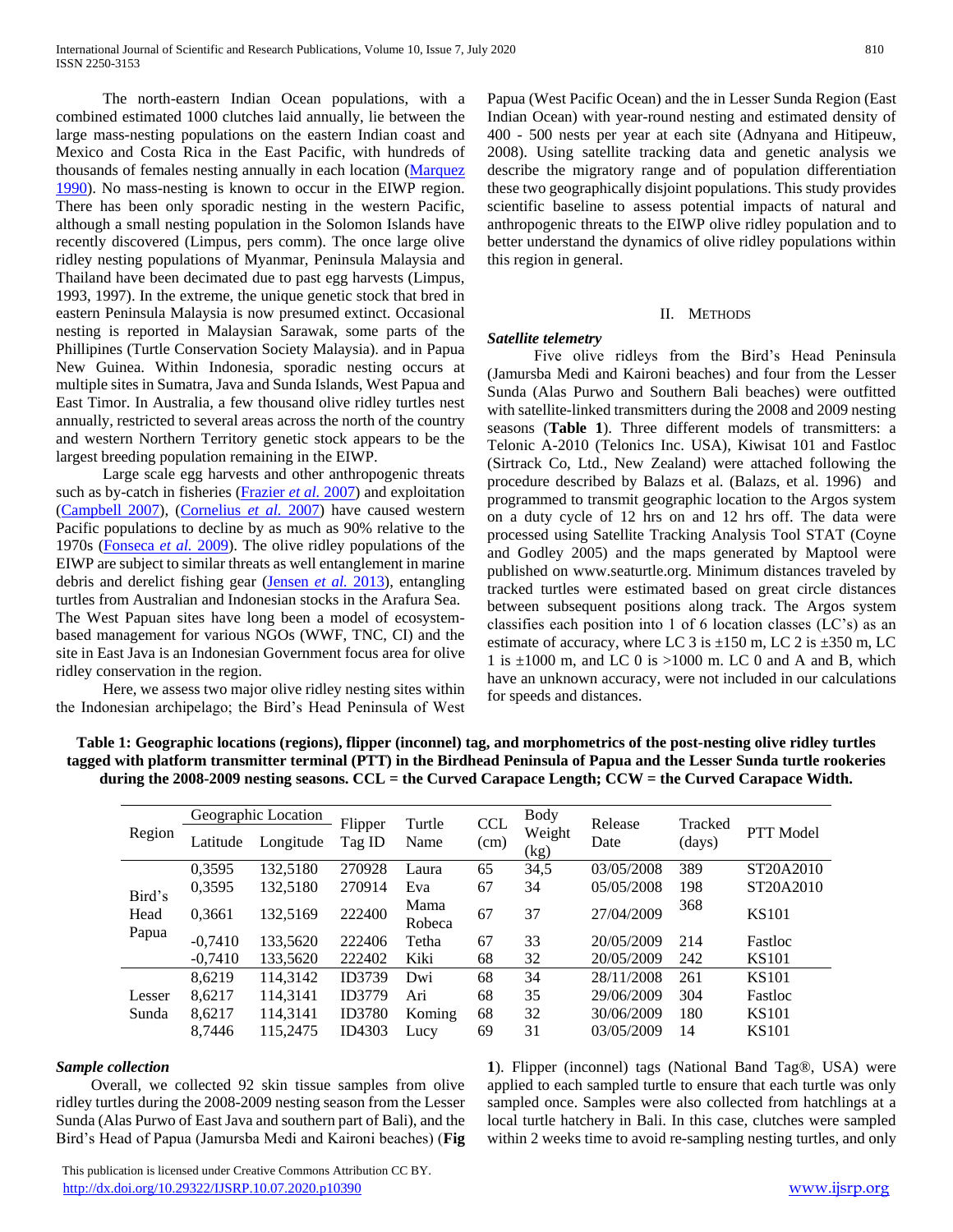The north-eastern Indian Ocean populations, with a combined estimated 1000 clutches laid annually, lie between the large mass-nesting populations on the eastern Indian coast and Mexico and Costa Rica in the East Pacific, with hundreds of thousands of females nesting annually in each location (Marquez 1990). No mass-nesting is known to occur in the EIWP region. There has been only sporadic nesting in the western Pacific, although a small nesting population in the Solomon Islands have recently discovered (Limpus, pers comm). The once large olive ridley nesting populations of Myanmar, Peninsula Malaysia and Thailand have been decimated due to past egg harvests (Limpus, 1993, 1997). In the extreme, the unique genetic stock that bred in eastern Peninsula Malaysia is now presumed extinct. Occasional nesting is reported in Malaysian Sarawak, some parts of the Phillipines (Turtle Conservation Society Malaysia). and in Papua New Guinea. Within Indonesia, sporadic nesting occurs at multiple sites in Sumatra, Java and Sunda Islands, West Papua and East Timor. In Australia, a few thousand olive ridley turtles nest annually, restricted to several areas across the north of the country and western Northern Territory genetic stock appears to be the largest breeding population remaining in the EIWP.

 Large scale egg harvests and other anthropogenic threats such as by-catch in fisheries (Frazier *et al.* 2007) and exploitation (Campbell 2007), (Cornelius *et al.* 2007) have caused western Pacific populations to decline by as much as 90% relative to the 1970s (Fonseca *et al.* 2009). The olive ridley populations of the EIWP are subject to similar threats as well entanglement in marine debris and derelict fishing gear (Jensen *et al.* 2013), entangling turtles from Australian and Indonesian stocks in the Arafura Sea. The West Papuan sites have long been a model of ecosystembased management for various NGOs (WWF, TNC, CI) and the site in East Java is an Indonesian Government focus area for olive ridley conservation in the region.

 Here, we assess two major olive ridley nesting sites within the Indonesian archipelago; the Bird's Head Peninsula of West

Papua (West Pacific Ocean) and the in Lesser Sunda Region (East Indian Ocean) with year-round nesting and estimated density of 400 - 500 nests per year at each site (Adnyana and Hitipeuw, 2008). Using satellite tracking data and genetic analysis we describe the migratory range and of population differentiation these two geographically disjoint populations. This study provides scientific baseline to assess potential impacts of natural and anthropogenic threats to the EIWP olive ridley population and to better understand the dynamics of olive ridley populations within this region in general.

## II. METHODS

# *Satellite telemetry*

 Five olive ridleys from the Bird's Head Peninsula (Jamursba Medi and Kaironi beaches) and four from the Lesser Sunda (Alas Purwo and Southern Bali beaches) were outfitted with satellite-linked transmitters during the 2008 and 2009 nesting seasons (**Table 1**). Three different models of transmitters: a Telonic A-2010 (Telonics Inc. USA), Kiwisat 101 and Fastloc (Sirtrack Co, Ltd., New Zealand) were attached following the procedure described by Balazs et al. (Balazs, et al. 1996) and programmed to transmit geographic location to the Argos system on a duty cycle of 12 hrs on and 12 hrs off. The data were processed using Satellite Tracking Analysis Tool STAT (Coyne and Godley 2005) and the maps generated by Maptool were published on www.seaturtle.org. Minimum distances traveled by tracked turtles were estimated based on great circle distances between subsequent positions along track. The Argos system classifies each position into 1 of 6 location classes (LC's) as an estimate of accuracy, where LC 3 is  $\pm 150$  m, LC 2 is  $\pm 350$  m, LC 1 is  $\pm 1000$  m, and LC 0 is  $>1000$  m. LC 0 and A and B, which have an unknown accuracy, were not included in our calculations for speeds and distances.

| Table 1: Geographic locations (regions), flipper (inconnel) tag, and morphometrics of the post-nesting olive ridley turtles |
|-----------------------------------------------------------------------------------------------------------------------------|
| tagged with platform transmitter terminal (PTT) in the Birdhead Peninsula of Papua and the Lesser Sunda turtle rookeries    |
| during the 2008-2009 nesting seasons. $CCL =$ the Curved Carapace Length; $CCW =$ the Curved Carapace Width.                |

| Region                  | Latitude  | Geographic Location<br>Longitude | Flipper<br>Tag ID | Turtle<br>Name | <b>CCL</b><br>(cm) | Body<br>Weight<br>(kg) | Release<br>Date | Tracked<br>(days) | <b>PTT</b> Model |
|-------------------------|-----------|----------------------------------|-------------------|----------------|--------------------|------------------------|-----------------|-------------------|------------------|
|                         | 0,3595    | 132,5180                         | 270928            | Laura          | 65                 | 34,5                   | 03/05/2008      | 389               | ST20A2010        |
| Bird's<br>Head<br>Papua | 0,3595    | 132,5180                         | 270914            | Eva            | 67                 | 34                     | 05/05/2008      | 198               | ST20A2010        |
|                         | 0,3661    | 132,5169                         | 222400            | Mama<br>Robeca | 67                 | 37                     | 27/04/2009      | 368               | <b>KS101</b>     |
|                         | $-0.7410$ | 133,5620                         | 222406            | Tetha          | 67                 | 33                     | 20/05/2009      | 214               | Fastloc          |
|                         | $-0,7410$ | 133,5620                         | 222402            | Kiki           | 68                 | 32                     | 20/05/2009      | 242               | <b>KS101</b>     |
|                         | 8.6219    | 114,3142                         | ID3739            | Dwi            | 68                 | 34                     | 28/11/2008      | 261               | <b>KS101</b>     |
| Lesser                  | 8.6217    | 114.3141                         | <b>ID3779</b>     | Ari            | 68                 | 35                     | 29/06/2009      | 304               | Fastloc          |
| Sunda                   | 8,6217    | 114,3141                         | ID3780            | Koming         | 68                 | 32                     | 30/06/2009      | 180               | <b>KS101</b>     |
|                         | 8.7446    | 115,2475                         | ID4303            | Lucy           | 69                 | 31                     | 03/05/2009      | 14                | <b>KS101</b>     |

## *Sample collection*

 Overall, we collected 92 skin tissue samples from olive ridley turtles during the 2008-2009 nesting season from the Lesser Sunda (Alas Purwo of East Java and southern part of Bali), and the Bird's Head of Papua (Jamursba Medi and Kaironi beaches) (**Fig**  **1**). Flipper (inconnel) tags (National Band Tag®, USA) were applied to each sampled turtle to ensure that each turtle was only sampled once. Samples were also collected from hatchlings at a local turtle hatchery in Bali. In this case, clutches were sampled within 2 weeks time to avoid re-sampling nesting turtles, and only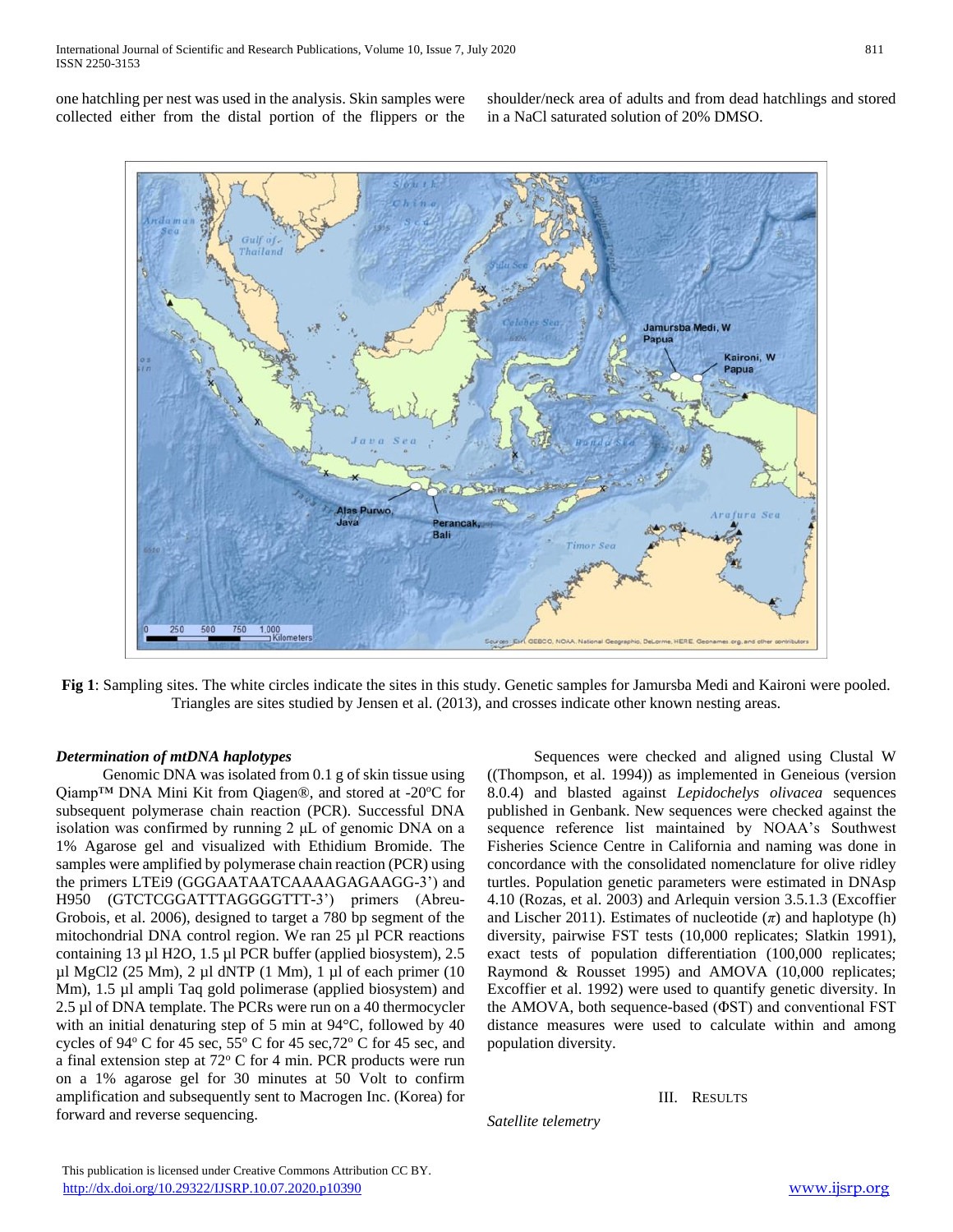shoulder/neck area of adults and from dead hatchlings and stored in a NaCl saturated solution of 20% DMSO.



**Fig 1**: Sampling sites. The white circles indicate the sites in this study. Genetic samples for Jamursba Medi and Kaironi were pooled. Triangles are sites studied by Jensen et al. (2013), and crosses indicate other known nesting areas.

# *Determination of mtDNA haplotypes*

 Genomic DNA was isolated from 0.1 g of skin tissue using Qiamp<sup>TM</sup> DNA Mini Kit from Qiagen®, and stored at -20 $\degree$ C for subsequent polymerase chain reaction (PCR). Successful DNA isolation was confirmed by running 2 μL of genomic DNA on a 1% Agarose gel and visualized with Ethidium Bromide. The samples were amplified by polymerase chain reaction (PCR) using the primers LTEi9 (GGGAATAATCAAAAGAGAAGG-3') and H950 (GTCTCGGATTTAGGGGTTT-3') primers (Abreu-Grobois, et al. 2006), designed to target a 780 bp segment of the mitochondrial DNA control region. We ran 25 µl PCR reactions containing 13 µl H2O, 1.5 µl PCR buffer (applied biosystem), 2.5 µl MgCl2 (25 Mm), 2 µl dNTP (1 Mm), 1 µl of each primer (10 Mm), 1.5 µl ampli Taq gold polimerase (applied biosystem) and 2.5 µl of DNA template. The PCRs were run on a 40 thermocycler with an initial denaturing step of 5 min at 94°C, followed by 40 cycles of 94 $\degree$  C for 45 sec, 55 $\degree$  C for 45 sec, 72 $\degree$  C for 45 sec, and a final extension step at 72° C for 4 min. PCR products were run on a 1% agarose gel for 30 minutes at 50 Volt to confirm amplification and subsequently sent to Macrogen Inc. (Korea) for forward and reverse sequencing.

 Sequences were checked and aligned using Clustal W ((Thompson, et al. 1994)) as implemented in Geneious (version 8.0.4) and blasted against *Lepidochelys olivacea* sequences published in Genbank. New sequences were checked against the sequence reference list maintained by NOAA's Southwest Fisheries Science Centre in California and naming was done in concordance with the consolidated nomenclature for olive ridley turtles. Population genetic parameters were estimated in DNAsp 4.10 (Rozas, et al. 2003) and Arlequin version 3.5.1.3 (Excoffier and Lischer 2011). Estimates of nucleotide  $(\pi)$  and haplotype (h) diversity, pairwise FST tests (10,000 replicates; Slatkin 1991), exact tests of population differentiation (100,000 replicates; Raymond & Rousset 1995) and AMOVA (10,000 replicates; Excoffier et al. 1992) were used to quantify genetic diversity. In the AMOVA, both sequence-based (ΦST) and conventional FST distance measures were used to calculate within and among population diversity.

# III. RESULTS

*Satellite telemetry*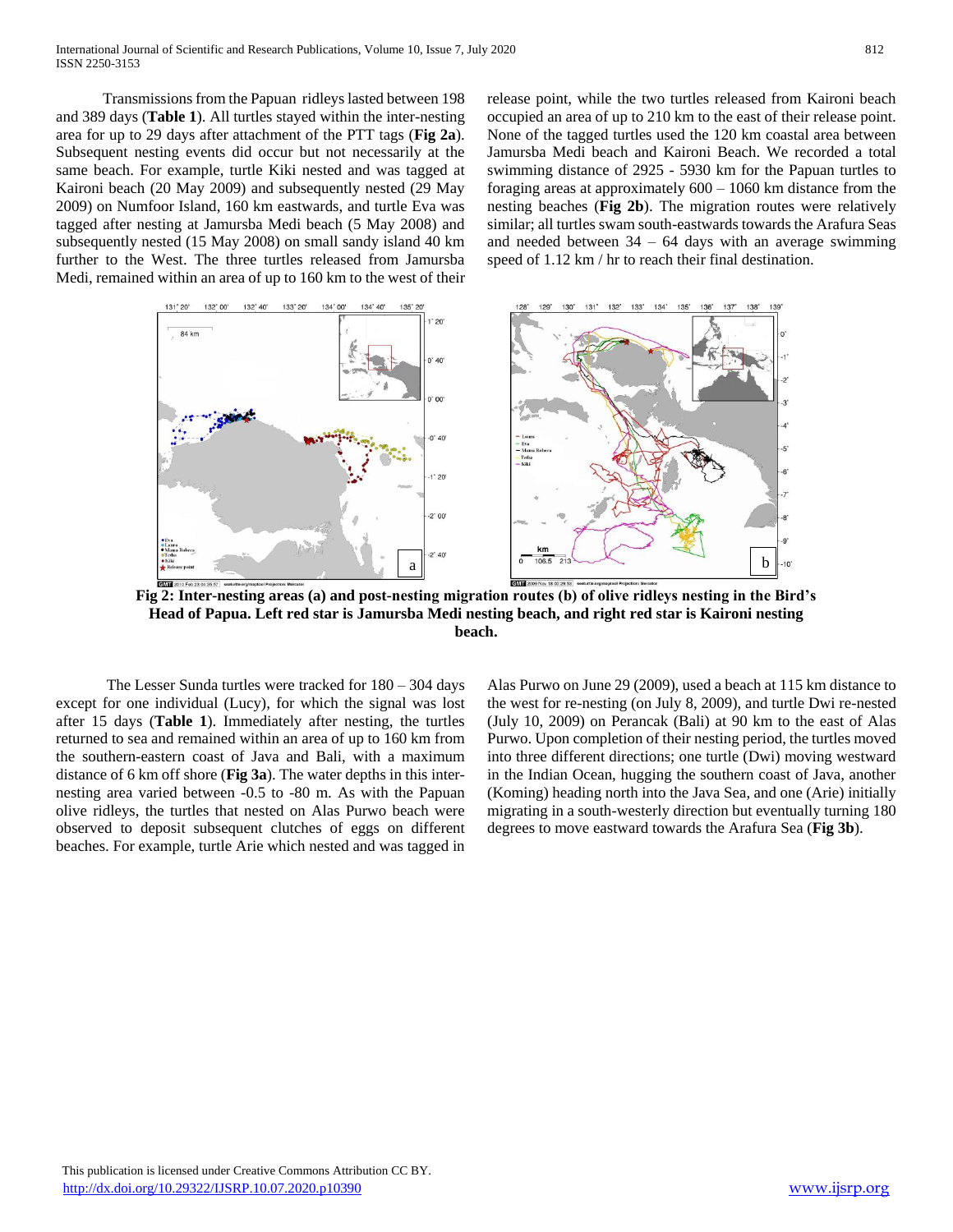Transmissions from the Papuan ridleys lasted between 198 and 389 days (**Table 1**). All turtles stayed within the inter-nesting area for up to 29 days after attachment of the PTT tags (**Fig 2a**). Subsequent nesting events did occur but not necessarily at the same beach. For example, turtle Kiki nested and was tagged at Kaironi beach (20 May 2009) and subsequently nested (29 May 2009) on Numfoor Island, 160 km eastwards, and turtle Eva was tagged after nesting at Jamursba Medi beach (5 May 2008) and subsequently nested (15 May 2008) on small sandy island 40 km further to the West. The three turtles released from Jamursba Medi, remained within an area of up to 160 km to the west of their release point, while the two turtles released from Kaironi beach occupied an area of up to 210 km to the east of their release point. None of the tagged turtles used the 120 km coastal area between Jamursba Medi beach and Kaironi Beach. We recorded a total swimming distance of 2925 - 5930 km for the Papuan turtles to foraging areas at approximately 600 – 1060 km distance from the nesting beaches (**Fig 2b**). The migration routes were relatively similar; all turtles swam south-eastwards towards the Arafura Seas and needed between  $34 - 64$  days with an average swimming speed of 1.12 km / hr to reach their final destination.



**Fig 2: Inter-nesting areas (a) and post-nesting migration routes (b) of olive ridleys nesting in the Bird's Head of Papua. Left red star is Jamursba Medi nesting beach, and right red star is Kaironi nesting beach.**

 The Lesser Sunda turtles were tracked for 180 – 304 days except for one individual (Lucy), for which the signal was lost after 15 days (**Table 1**). Immediately after nesting, the turtles returned to sea and remained within an area of up to 160 km from the southern-eastern coast of Java and Bali, with a maximum distance of 6 km off shore (**Fig 3a**). The water depths in this internesting area varied between -0.5 to -80 m. As with the Papuan olive ridleys, the turtles that nested on Alas Purwo beach were observed to deposit subsequent clutches of eggs on different beaches. For example, turtle Arie which nested and was tagged in

Alas Purwo on June 29 (2009), used a beach at 115 km distance to the west for re-nesting (on July 8, 2009), and turtle Dwi re-nested (July 10, 2009) on Perancak (Bali) at 90 km to the east of Alas Purwo. Upon completion of their nesting period, the turtles moved into three different directions; one turtle (Dwi) moving westward in the Indian Ocean, hugging the southern coast of Java, another (Koming) heading north into the Java Sea, and one (Arie) initially migrating in a south-westerly direction but eventually turning 180 degrees to move eastward towards the Arafura Sea (**Fig 3b**).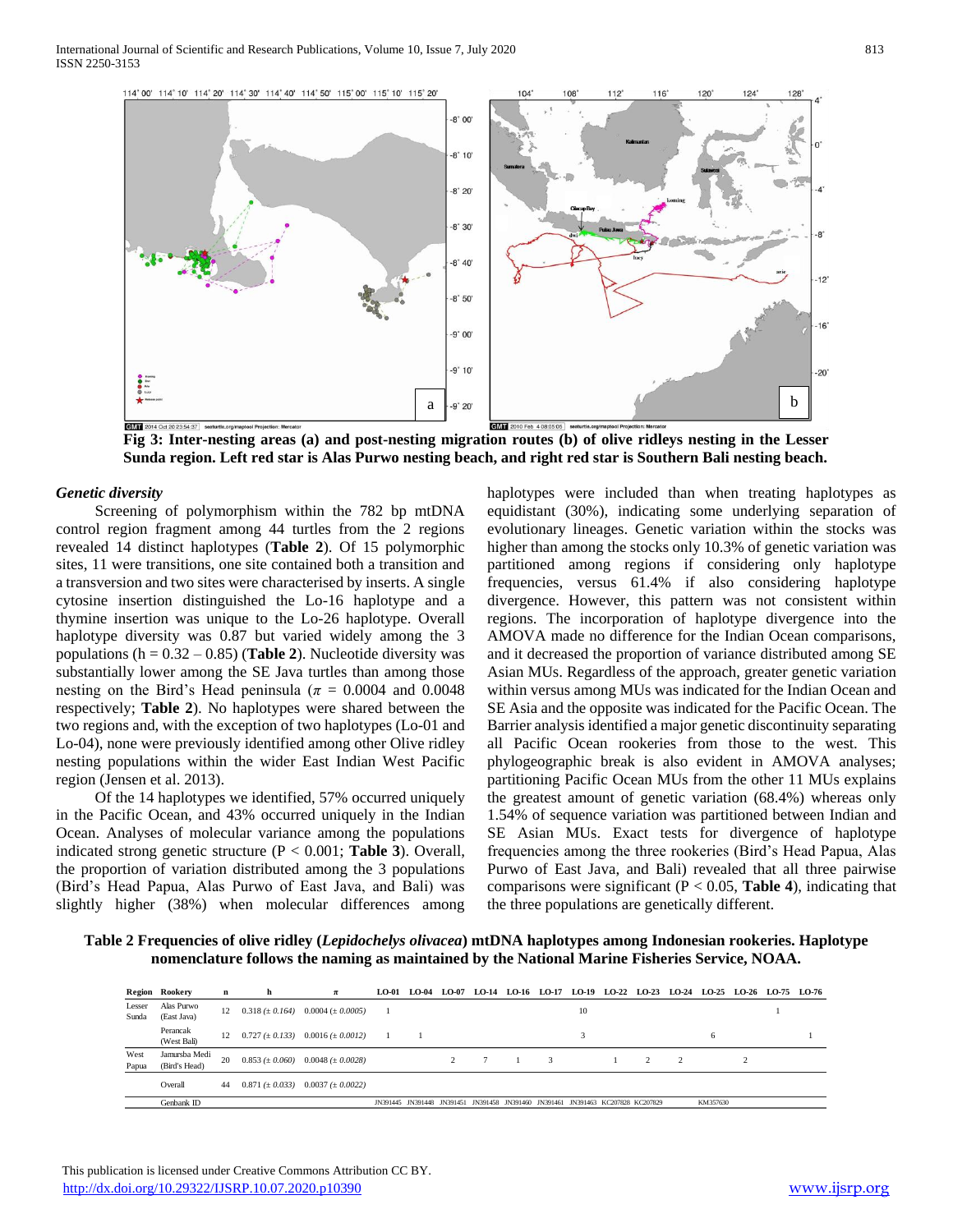

**Fig 3: Inter-nesting areas (a) and post-nesting migration routes (b) of olive ridleys nesting in the Lesser Sunda region. Left red star is Alas Purwo nesting beach, and right red star is Southern Bali nesting beach.**

### *Genetic diversity*

 Screening of polymorphism within the 782 bp mtDNA control region fragment among 44 turtles from the 2 regions revealed 14 distinct haplotypes (**Table 2**). Of 15 polymorphic sites, 11 were transitions, one site contained both a transition and a transversion and two sites were characterised by inserts. A single cytosine insertion distinguished the Lo-16 haplotype and a thymine insertion was unique to the Lo-26 haplotype. Overall haplotype diversity was 0.87 but varied widely among the 3 populations ( $h = 0.32 - 0.85$ ) (**Table 2**). Nucleotide diversity was substantially lower among the SE Java turtles than among those nesting on the Bird's Head peninsula ( $\pi = 0.0004$  and 0.0048 respectively; **Table 2**). No haplotypes were shared between the two regions and, with the exception of two haplotypes (Lo-01 and Lo-04), none were previously identified among other Olive ridley nesting populations within the wider East Indian West Pacific region (Jensen et al. 2013).

 Of the 14 haplotypes we identified, 57% occurred uniquely in the Pacific Ocean, and 43% occurred uniquely in the Indian Ocean. Analyses of molecular variance among the populations indicated strong genetic structure (P < 0.001; **Table 3**). Overall, the proportion of variation distributed among the 3 populations (Bird's Head Papua, Alas Purwo of East Java, and Bali) was slightly higher (38%) when molecular differences among

haplotypes were included than when treating haplotypes as equidistant (30%), indicating some underlying separation of evolutionary lineages. Genetic variation within the stocks was higher than among the stocks only 10.3% of genetic variation was partitioned among regions if considering only haplotype frequencies, versus 61.4% if also considering haplotype divergence. However, this pattern was not consistent within regions. The incorporation of haplotype divergence into the AMOVA made no difference for the Indian Ocean comparisons, and it decreased the proportion of variance distributed among SE Asian MUs. Regardless of the approach, greater genetic variation within versus among MUs was indicated for the Indian Ocean and SE Asia and the opposite was indicated for the Pacific Ocean. The Barrier analysis identified a major genetic discontinuity separating all Pacific Ocean rookeries from those to the west. This phylogeographic break is also evident in AMOVA analyses; partitioning Pacific Ocean MUs from the other 11 MUs explains the greatest amount of genetic variation (68.4%) whereas only 1.54% of sequence variation was partitioned between Indian and SE Asian MUs. Exact tests for divergence of haplotype frequencies among the three rookeries (Bird's Head Papua, Alas Purwo of East Java, and Bali) revealed that all three pairwise comparisons were significant ( $P < 0.05$ , **Table 4**), indicating that the three populations are genetically different.

**Table 2 Frequencies of olive ridley (***Lepidochelys olivacea***) mtDNA haplotypes among Indonesian rookeries. Haplotype nomenclature follows the naming as maintained by the National Marine Fisheries Service, NOAA.**

|                 | Region Rookery                 | n  | h | $\pi$                                       | <b>LO-01</b> | LO-04                                                                            | LO-07 | <b>LO-14</b> |  |    |  |                | LO-16 LO-17 LO-19 LO-22 LO-23 LO-24 LO-25 LO-26 LO-75 LO-76 |  |  |
|-----------------|--------------------------------|----|---|---------------------------------------------|--------------|----------------------------------------------------------------------------------|-------|--------------|--|----|--|----------------|-------------------------------------------------------------|--|--|
| Lesser<br>Sunda | Alas Purwo<br>(East Java)      | 12 |   | $0.318 (\pm 0.164)$ 0.0004 ( $\pm 0.0005$ ) |              |                                                                                  |       |              |  | 10 |  |                |                                                             |  |  |
|                 | Perancak<br>(West Bali)        | 12 |   | $0.727 (\pm 0.133)$ $0.0016 (\pm 0.0012)$   |              |                                                                                  |       |              |  |    |  |                | 6                                                           |  |  |
| West<br>Papua   | Jamursba Medi<br>(Bird's Head) | 20 |   | $0.853 (\pm 0.060)$ $0.0048 (\pm 0.0028)$   |              |                                                                                  |       |              |  |    |  | $\overline{c}$ |                                                             |  |  |
|                 | Overall                        | 44 |   | $0.871 (\pm 0.033)$ $0.0037 (\pm 0.0022)$   |              |                                                                                  |       |              |  |    |  |                |                                                             |  |  |
|                 | Genbank ID                     |    |   |                                             |              | JN391445 JN391448 JN391451 JN391458 JN391460 JN391461 JN391463 KC207828 KC207829 |       |              |  |    |  |                | KM357630                                                    |  |  |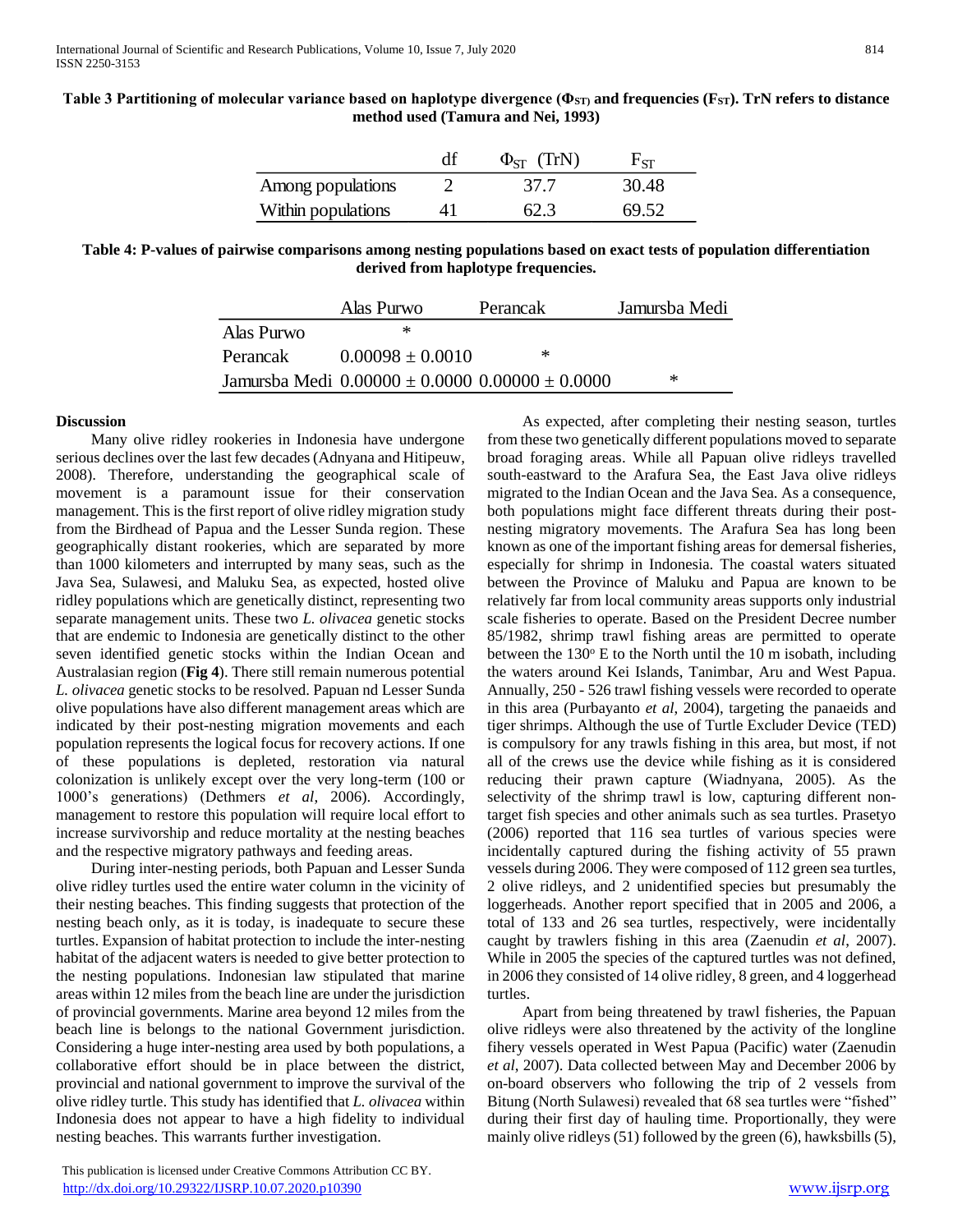| Table 3 Partitioning of molecular variance based on haplotype divergence ( $\Phi_{ST}$ ) and frequencies (F <sub>ST</sub> ). TrN refers to distance |  |
|-----------------------------------------------------------------------------------------------------------------------------------------------------|--|
| method used (Tamura and Nei, 1993)                                                                                                                  |  |

|                    | (TrN)<br>$\Phi_{\text{CT}}$ | - ST  |
|--------------------|-----------------------------|-------|
| Among populations  | 37.7                        | 30.48 |
| Within populations | 62.3                        | 69.52 |

**Table 4: P-values of pairwise comparisons among nesting populations based on exact tests of population differentiation derived from haplotype frequencies.**

|            | Alas Purwo           | Perancak                                                | Jamursba Medi |
|------------|----------------------|---------------------------------------------------------|---------------|
| Alas Purwo | ∗                    |                                                         |               |
| Perancak   | $0.00098 \pm 0.0010$ | ж                                                       |               |
|            |                      | Jamursba Medi $0.00000 \pm 0.0000$ $0.00000 \pm 0.0000$ | ∗             |

## **Discussion**

 Many olive ridley rookeries in Indonesia have undergone serious declines over the last few decades (Adnyana and Hitipeuw, 2008). Therefore, understanding the geographical scale of movement is a paramount issue for their conservation management. This is the first report of olive ridley migration study from the Birdhead of Papua and the Lesser Sunda region. These geographically distant rookeries, which are separated by more than 1000 kilometers and interrupted by many seas, such as the Java Sea, Sulawesi, and Maluku Sea, as expected, hosted olive ridley populations which are genetically distinct, representing two separate management units. These two *L. olivacea* genetic stocks that are endemic to Indonesia are genetically distinct to the other seven identified genetic stocks within the Indian Ocean and Australasian region (**Fig 4**). There still remain numerous potential *L. olivacea* genetic stocks to be resolved. Papuan nd Lesser Sunda olive populations have also different management areas which are indicated by their post-nesting migration movements and each population represents the logical focus for recovery actions. If one of these populations is depleted, restoration via natural colonization is unlikely except over the very long-term (100 or 1000's generations) (Dethmers *et al*, 2006). Accordingly, management to restore this population will require local effort to increase survivorship and reduce mortality at the nesting beaches and the respective migratory pathways and feeding areas.

 During inter-nesting periods, both Papuan and Lesser Sunda olive ridley turtles used the entire water column in the vicinity of their nesting beaches. This finding suggests that protection of the nesting beach only, as it is today, is inadequate to secure these turtles. Expansion of habitat protection to include the inter-nesting habitat of the adjacent waters is needed to give better protection to the nesting populations. Indonesian law stipulated that marine areas within 12 miles from the beach line are under the jurisdiction of provincial governments. Marine area beyond 12 miles from the beach line is belongs to the national Government jurisdiction. Considering a huge inter-nesting area used by both populations, a collaborative effort should be in place between the district, provincial and national government to improve the survival of the olive ridley turtle. This study has identified that *L. olivacea* within Indonesia does not appear to have a high fidelity to individual nesting beaches. This warrants further investigation.

 This publication is licensed under Creative Commons Attribution CC BY. <http://dx.doi.org/10.29322/IJSRP.10.07.2020.p10390> [www.ijsrp.org](http://ijsrp.org/)

 As expected, after completing their nesting season, turtles from these two genetically different populations moved to separate broad foraging areas. While all Papuan olive ridleys travelled south-eastward to the Arafura Sea, the East Java olive ridleys migrated to the Indian Ocean and the Java Sea. As a consequence, both populations might face different threats during their postnesting migratory movements. The Arafura Sea has long been known as one of the important fishing areas for demersal fisheries, especially for shrimp in Indonesia. The coastal waters situated between the Province of Maluku and Papua are known to be relatively far from local community areas supports only industrial scale fisheries to operate. Based on the President Decree number 85/1982, shrimp trawl fishing areas are permitted to operate between the  $130^{\circ}$  E to the North until the 10 m isobath, including the waters around Kei Islands, Tanimbar, Aru and West Papua. Annually, 250 - 526 trawl fishing vessels were recorded to operate in this area (Purbayanto *et al*, 2004), targeting the panaeids and tiger shrimps. Although the use of Turtle Excluder Device (TED) is compulsory for any trawls fishing in this area, but most, if not all of the crews use the device while fishing as it is considered reducing their prawn capture (Wiadnyana, 2005). As the selectivity of the shrimp trawl is low, capturing different nontarget fish species and other animals such as sea turtles. Prasetyo (2006) reported that 116 sea turtles of various species were incidentally captured during the fishing activity of 55 prawn vessels during 2006. They were composed of 112 green sea turtles, 2 olive ridleys, and 2 unidentified species but presumably the loggerheads. Another report specified that in 2005 and 2006, a total of 133 and 26 sea turtles, respectively, were incidentally caught by trawlers fishing in this area (Zaenudin *et al*, 2007). While in 2005 the species of the captured turtles was not defined, in 2006 they consisted of 14 olive ridley, 8 green, and 4 loggerhead turtles. df  $\frac{0}{25}$  57.73 6 9.38<br>
41 62.3 30.48 7 61.88 6 6.95 1 60.52<br>
ing populations based on exact tests of population differentiation<br>
happlotype frequencies.<br>
Perancak Ianuxsba Medi<br>
1010 \*<br>
6000 0.000000 + 0.0000 \*<br>
for

 Apart from being threatened by trawl fisheries, the Papuan olive ridleys were also threatened by the activity of the longline fihery vessels operated in West Papua (Pacific) water (Zaenudin *et al*, 2007). Data collected between May and December 2006 by on-board observers who following the trip of 2 vessels from Bitung (North Sulawesi) revealed that 68 sea turtles were "fished" during their first day of hauling time. Proportionally, they were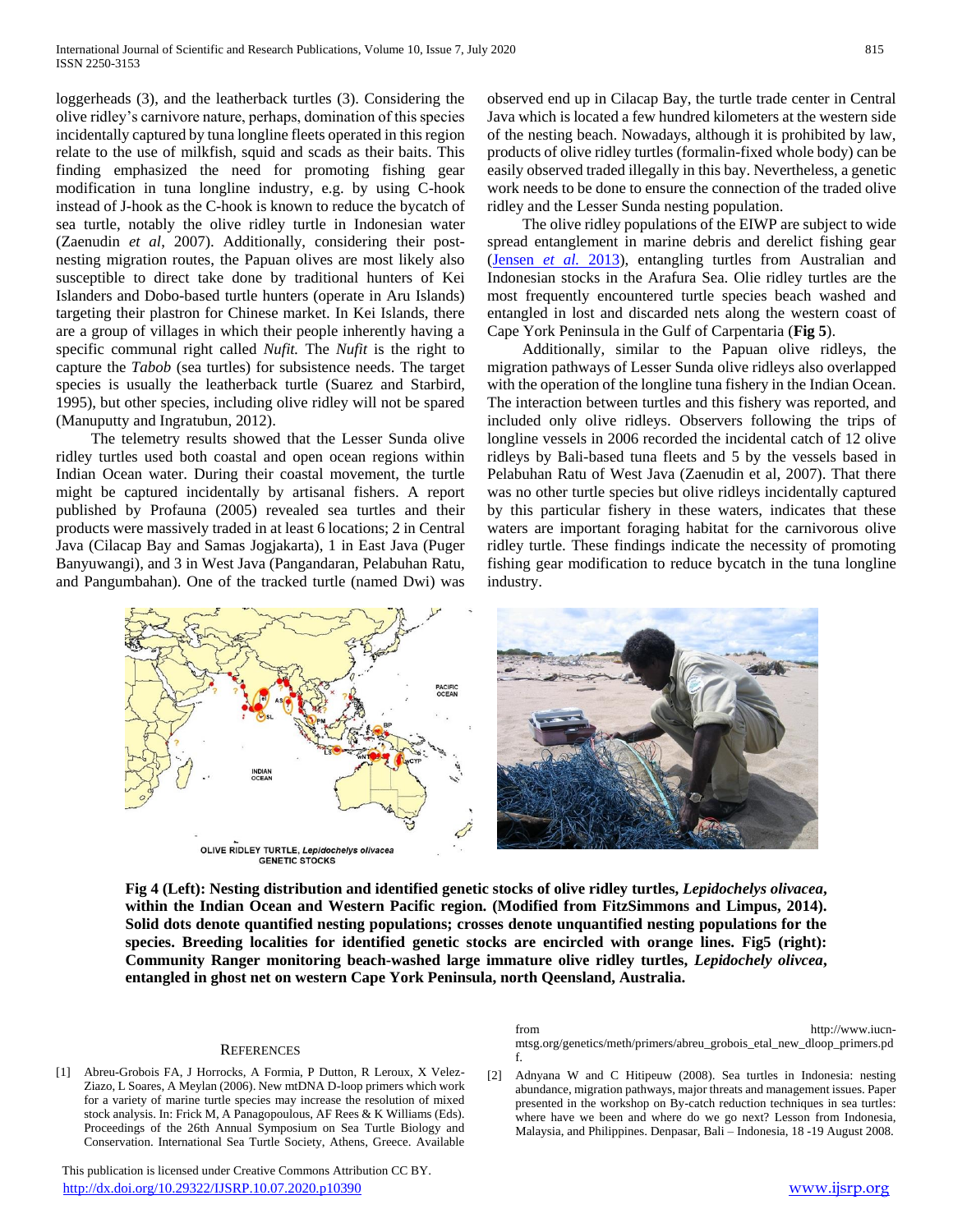loggerheads (3), and the leatherback turtles (3). Considering the olive ridley's carnivore nature, perhaps, domination of this species incidentally captured by tuna longline fleets operated in this region relate to the use of milkfish, squid and scads as their baits. This finding emphasized the need for promoting fishing gear modification in tuna longline industry, e.g. by using C-hook instead of J-hook as the C-hook is known to reduce the bycatch of sea turtle, notably the olive ridley turtle in Indonesian water (Zaenudin *et al*, 2007). Additionally, considering their postnesting migration routes, the Papuan olives are most likely also susceptible to direct take done by traditional hunters of Kei Islanders and Dobo-based turtle hunters (operate in Aru Islands) targeting their plastron for Chinese market. In Kei Islands, there are a group of villages in which their people inherently having a specific communal right called *Nufit.* The *Nufit* is the right to capture the *Tabob* (sea turtles) for subsistence needs. The target species is usually the leatherback turtle (Suarez and Starbird, 1995), but other species, including olive ridley will not be spared (Manuputty and Ingratubun, 2012).

 The telemetry results showed that the Lesser Sunda olive ridley turtles used both coastal and open ocean regions within Indian Ocean water. During their coastal movement, the turtle might be captured incidentally by artisanal fishers. A report published by Profauna (2005) revealed sea turtles and their products were massively traded in at least 6 locations; 2 in Central Java (Cilacap Bay and Samas Jogjakarta), 1 in East Java (Puger Banyuwangi), and 3 in West Java (Pangandaran, Pelabuhan Ratu, and Pangumbahan). One of the tracked turtle (named Dwi) was observed end up in Cilacap Bay, the turtle trade center in Central Java which is located a few hundred kilometers at the western side of the nesting beach. Nowadays, although it is prohibited by law, products of olive ridley turtles (formalin-fixed whole body) can be easily observed traded illegally in this bay. Nevertheless, a genetic work needs to be done to ensure the connection of the traded olive ridley and the Lesser Sunda nesting population.

 The olive ridley populations of the EIWP are subject to wide spread entanglement in marine debris and derelict fishing gear (Jensen *et al.* 2013), entangling turtles from Australian and Indonesian stocks in the Arafura Sea. Olie ridley turtles are the most frequently encountered turtle species beach washed and entangled in lost and discarded nets along the western coast of Cape York Peninsula in the Gulf of Carpentaria (**Fig 5**).

 Additionally, similar to the Papuan olive ridleys, the migration pathways of Lesser Sunda olive ridleys also overlapped with the operation of the longline tuna fishery in the Indian Ocean. The interaction between turtles and this fishery was reported, and included only olive ridleys. Observers following the trips of longline vessels in 2006 recorded the incidental catch of 12 olive ridleys by Bali-based tuna fleets and 5 by the vessels based in Pelabuhan Ratu of West Java (Zaenudin et al, 2007). That there was no other turtle species but olive ridleys incidentally captured by this particular fishery in these waters, indicates that these waters are important foraging habitat for the carnivorous olive ridley turtle. These findings indicate the necessity of promoting fishing gear modification to reduce bycatch in the tuna longline industry.





**Fig 4 (Left): Nesting distribution and identified genetic stocks of olive ridley turtles,** *Lepidochelys olivacea***, within the Indian Ocean and Western Pacific region. (Modified from FitzSimmons and Limpus, 2014). Solid dots denote quantified nesting populations; crosses denote unquantified nesting populations for the species. Breeding localities for identified genetic stocks are encircled with orange lines. Fig5 (right): Community Ranger monitoring beach-washed large immature olive ridley turtles,** *Lepidochely olivcea***, entangled in ghost net on western Cape York Peninsula, north Qeensland, Australia.**

#### **REFERENCES**

[1] Abreu-Grobois FA, J Horrocks, A Formia, P Dutton, R Leroux, X Velez-Ziazo, L Soares, A Meylan (2006). New mtDNA D-loop primers which work for a variety of marine turtle species may increase the resolution of mixed stock analysis. In: Frick M, A Panagopoulous, AF Rees & K Williams (Eds). Proceedings of the 26th Annual Symposium on Sea Turtle Biology and Conservation. International Sea Turtle Society, Athens, Greece. Available

 This publication is licensed under Creative Commons Attribution CC BY. <http://dx.doi.org/10.29322/IJSRP.10.07.2020.p10390> [www.ijsrp.org](http://ijsrp.org/)

from http://www.iucnmtsg.org/genetics/meth/primers/abreu\_grobois\_etal\_new\_dloop\_primers.pd f.

[2] Adnyana W and C Hitipeuw (2008). Sea turtles in Indonesia: nesting abundance, migration pathways, major threats and management issues. Paper presented in the workshop on By-catch reduction techniques in sea turtles: where have we been and where do we go next? Lesson from Indonesia, Malaysia, and Philippines. Denpasar, Bali – Indonesia, 18 -19 August 2008.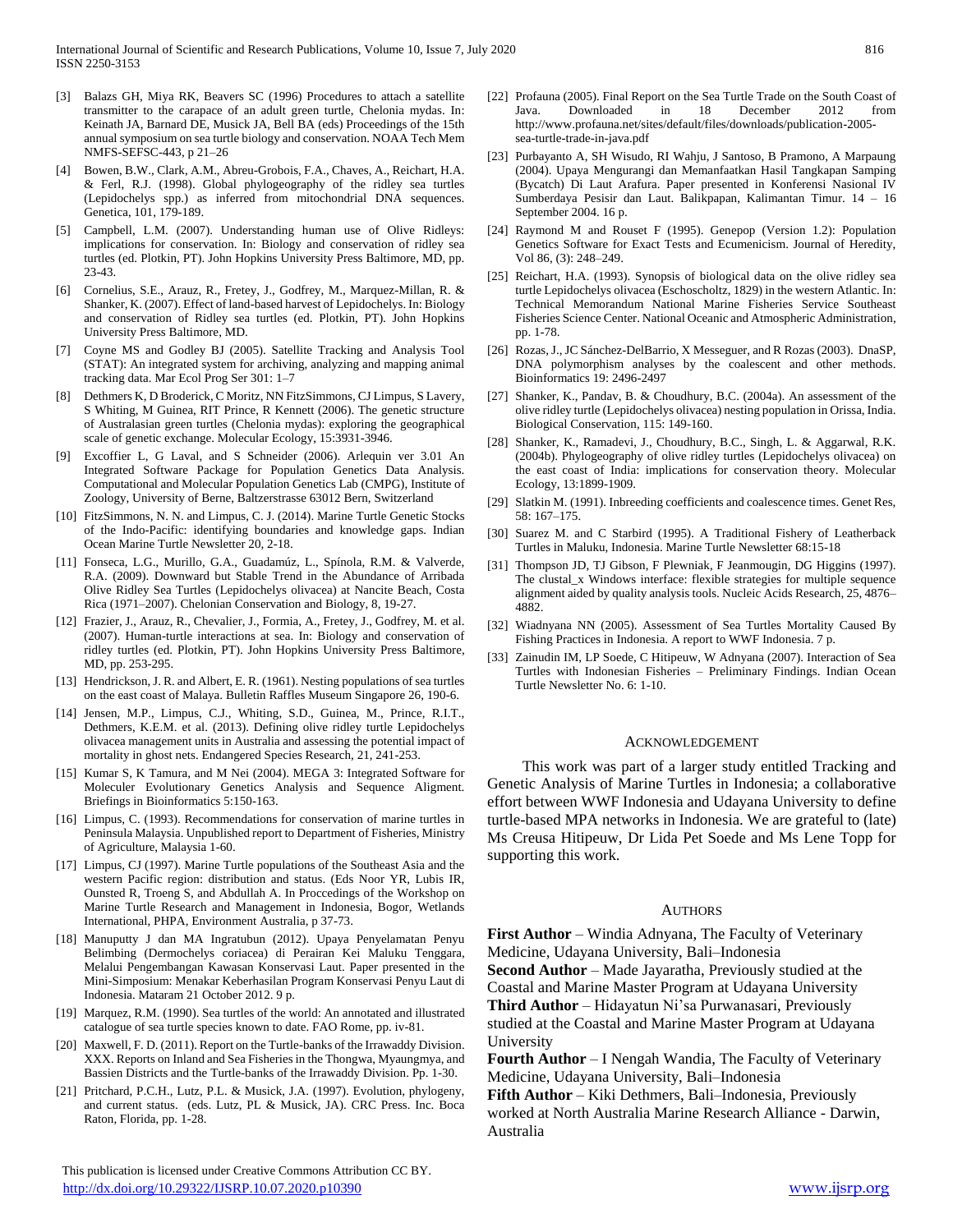- [3] Balazs GH, Miya RK, Beavers SC (1996) Procedures to attach a satellite transmitter to the carapace of an adult green turtle, Chelonia mydas. In: Keinath JA, Barnard DE, Musick JA, Bell BA (eds) Proceedings of the 15th annual symposium on sea turtle biology and conservation. NOAA Tech Mem NMFS-SEFSC-443, p 21–26
- [4] Bowen, B.W., Clark, A.M., Abreu-Grobois, F.A., Chaves, A., Reichart, H.A. & Ferl, R.J. (1998). Global phylogeography of the ridley sea turtles (Lepidochelys spp.) as inferred from mitochondrial DNA sequences. Genetica, 101, 179-189.
- [5] Campbell, L.M. (2007). Understanding human use of Olive Ridleys: implications for conservation. In: Biology and conservation of ridley sea turtles (ed. Plotkin, PT). John Hopkins University Press Baltimore, MD, pp. 23-43.
- [6] Cornelius, S.E., Arauz, R., Fretey, J., Godfrey, M., Marquez-Millan, R. & Shanker, K. (2007). Effect of land-based harvest of Lepidochelys. In: Biology and conservation of Ridley sea turtles (ed. Plotkin, PT). John Hopkins University Press Baltimore, MD.
- [7] Coyne MS and Godley BJ (2005). Satellite Tracking and Analysis Tool (STAT): An integrated system for archiving, analyzing and mapping animal tracking data. Mar Ecol Prog Ser 301: 1–7
- [8] Dethmers K, D Broderick, C Moritz, NN FitzSimmons, CJ Limpus, S Lavery, S Whiting, M Guinea, RIT Prince, R Kennett (2006). The genetic structure of Australasian green turtles (Chelonia mydas): exploring the geographical scale of genetic exchange. Molecular Ecology, 15:3931-3946.
- [9] Excoffier L, G Laval, and S Schneider (2006). Arlequin ver 3.01 An Integrated Software Package for Population Genetics Data Analysis. Computational and Molecular Population Genetics Lab (CMPG), Institute of Zoology, University of Berne, Baltzerstrasse 63012 Bern, Switzerland
- [10] FitzSimmons, N. N. and Limpus, C. J. (2014). Marine Turtle Genetic Stocks of the Indo-Pacific: identifying boundaries and knowledge gaps. Indian Ocean Marine Turtle Newsletter 20, 2-18.
- [11] Fonseca, L.G., Murillo, G.A., Guadamúz, L., Spínola, R.M. & Valverde, R.A. (2009). Downward but Stable Trend in the Abundance of Arribada Olive Ridley Sea Turtles (Lepidochelys olivacea) at Nancite Beach, Costa Rica (1971–2007). Chelonian Conservation and Biology, 8, 19-27.
- [12] Frazier, J., Arauz, R., Chevalier, J., Formia, A., Fretey, J., Godfrey, M. et al. (2007). Human-turtle interactions at sea. In: Biology and conservation of ridley turtles (ed. Plotkin, PT). John Hopkins University Press Baltimore, MD, pp. 253-295.
- [13] Hendrickson, J. R. and Albert, E. R. (1961). Nesting populations of sea turtles on the east coast of Malaya. Bulletin Raffles Museum Singapore 26, 190-6.
- [14] Jensen, M.P., Limpus, C.J., Whiting, S.D., Guinea, M., Prince, R.I.T., Dethmers, K.E.M. et al. (2013). Defining olive ridley turtle Lepidochelys olivacea management units in Australia and assessing the potential impact of mortality in ghost nets. Endangered Species Research, 21, 241-253.
- [15] Kumar S, K Tamura, and M Nei (2004). MEGA 3: Integrated Software for Moleculer Evolutionary Genetics Analysis and Sequence Aligment. Briefings in Bioinformatics 5:150-163.
- [16] Limpus, C. (1993). Recommendations for conservation of marine turtles in Peninsula Malaysia. Unpublished report to Department of Fisheries, Ministry of Agriculture, Malaysia 1-60.
- [17] Limpus, CJ (1997). Marine Turtle populations of the Southeast Asia and the western Pacific region: distribution and status. (Eds Noor YR, Lubis IR, Ounsted R, Troeng S, and Abdullah A. In Proccedings of the Workshop on Marine Turtle Research and Management in Indonesia, Bogor, Wetlands International, PHPA, Environment Australia, p 37-73.
- [18] Manuputty J dan MA Ingratubun (2012). Upaya Penyelamatan Penyu Belimbing (Dermochelys coriacea) di Perairan Kei Maluku Tenggara, Melalui Pengembangan Kawasan Konservasi Laut. Paper presented in the Mini-Simposium: Menakar Keberhasilan Program Konservasi Penyu Laut di Indonesia. Mataram 21 October 2012. 9 p.
- [19] Marquez, R.M. (1990). Sea turtles of the world: An annotated and illustrated catalogue of sea turtle species known to date. FAO Rome, pp. iv-81.
- [20] Maxwell, F. D. (2011). Report on the Turtle-banks of the Irrawaddy Division. XXX. Reports on Inland and Sea Fisheries in the Thongwa, Myaungmya, and Bassien Districts and the Turtle-banks of the Irrawaddy Division. Pp. 1-30.
- [21] Pritchard, P.C.H., Lutz, P.L. & Musick, J.A. (1997). Evolution, phylogeny, and current status. (eds. Lutz, PL & Musick, JA). CRC Press. Inc. Boca Raton, Florida, pp. 1-28.

 This publication is licensed under Creative Commons Attribution CC BY. <http://dx.doi.org/10.29322/IJSRP.10.07.2020.p10390> [www.ijsrp.org](http://ijsrp.org/)

- [22] Profauna (2005). Final Report on the Sea Turtle Trade on the South Coast of Java. Downloaded in 18 December 2012 from http://www.profauna.net/sites/default/files/downloads/publication-2005 sea-turtle-trade-in-java.pdf
- [23] Purbayanto A, SH Wisudo, RI Wahju, J Santoso, B Pramono, A Marpaung (2004). Upaya Mengurangi dan Memanfaatkan Hasil Tangkapan Samping (Bycatch) Di Laut Arafura. Paper presented in Konferensi Nasional IV Sumberdaya Pesisir dan Laut. Balikpapan, Kalimantan Timur. 14 – 16 September 2004. 16 p.
- [24] Raymond M and Rouset F (1995). Genepop (Version 1.2): Population Genetics Software for Exact Tests and Ecumenicism. Journal of Heredity, Vol 86, (3): 248–249.
- [25] Reichart, H.A. (1993). Synopsis of biological data on the olive ridley sea turtle Lepidochelys olivacea (Eschoscholtz, 1829) in the western Atlantic. In: Technical Memorandum National Marine Fisheries Service Southeast Fisheries Science Center. National Oceanic and Atmospheric Administration, pp. 1-78.
- [26] Rozas, J., JC Sánchez-DelBarrio, X Messeguer, and R Rozas (2003). DnaSP, DNA polymorphism analyses by the coalescent and other methods. Bioinformatics 19: 2496-2497
- [27] Shanker, K., Pandav, B. & Choudhury, B.C. (2004a). An assessment of the olive ridley turtle (Lepidochelys olivacea) nesting population in Orissa, India. Biological Conservation, 115: 149-160.
- [28] Shanker, K., Ramadevi, J., Choudhury, B.C., Singh, L. & Aggarwal, R.K. (2004b). Phylogeography of olive ridley turtles (Lepidochelys olivacea) on the east coast of India: implications for conservation theory. Molecular Ecology, 13:1899-1909.
- [29] Slatkin M. (1991). Inbreeding coefficients and coalescence times. Genet Res, 58: 167–175.
- [30] Suarez M. and C Starbird (1995). A Traditional Fishery of Leatherback Turtles in Maluku, Indonesia. Marine Turtle Newsletter 68:15-18
- [31] Thompson JD, TJ Gibson, F Plewniak, F Jeanmougin, DG Higgins (1997). The clustal x Windows interface: flexible strategies for multiple sequence alignment aided by quality analysis tools. Nucleic Acids Research, 25, 4876– 4882.
- [32] Wiadnyana NN (2005). Assessment of Sea Turtles Mortality Caused By Fishing Practices in Indonesia. A report to WWF Indonesia. 7 p.
- [33] Zainudin IM, LP Soede, C Hitipeuw, W Adnyana (2007). Interaction of Sea Turtles with Indonesian Fisheries – Preliminary Findings. Indian Ocean Turtle Newsletter No. 6: 1-10.

#### ACKNOWLEDGEMENT

 This work was part of a larger study entitled Tracking and Genetic Analysis of Marine Turtles in Indonesia; a collaborative effort between WWF Indonesia and Udayana University to define turtle-based MPA networks in Indonesia. We are grateful to (late) Ms Creusa Hitipeuw, Dr Lida Pet Soede and Ms Lene Topp for supporting this work.

#### **AUTHORS**

**First Author** – Windia Adnyana, The Faculty of Veterinary Medicine, Udayana University, Bali–Indonesia **Second Author** – Made Jayaratha, Previously studied at the Coastal and Marine Master Program at Udayana University **Third Author** – Hidayatun Ni'sa Purwanasari, Previously

studied at the Coastal and Marine Master Program at Udayana University

**Fourth Author** – I Nengah Wandia, The Faculty of Veterinary Medicine, Udayana University, Bali–Indonesia

**Fifth Author** – Kiki Dethmers, Bali–Indonesia, Previously worked at North Australia Marine Research Alliance - Darwin, Australia